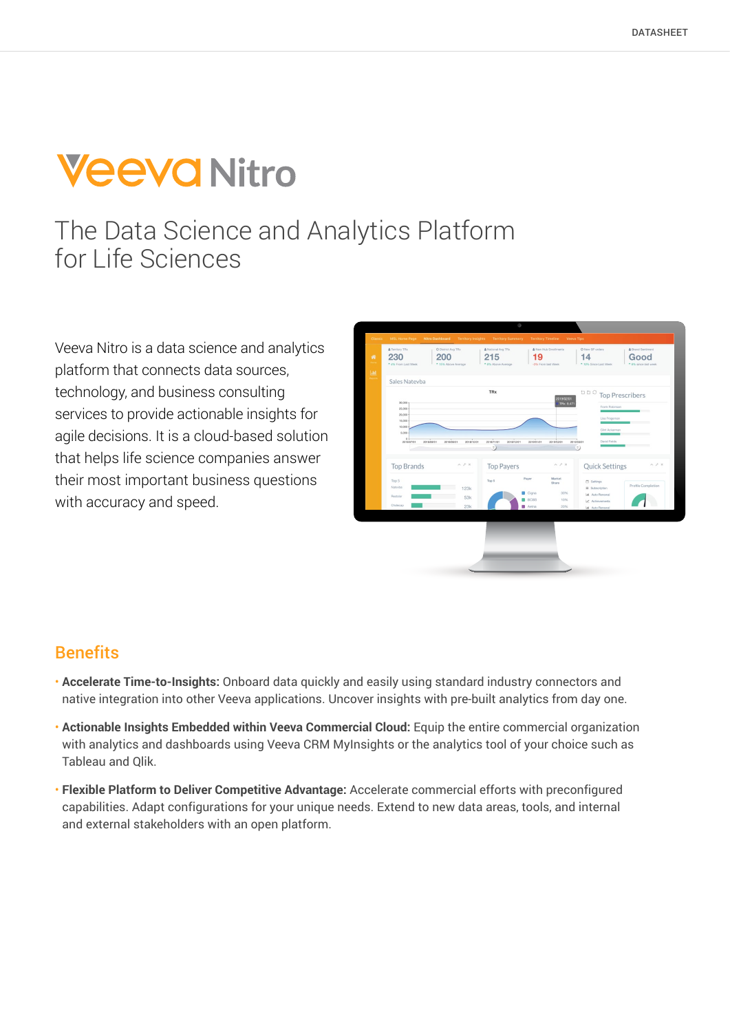# **Veeva Nitro**

# The Data Science and Analytics Platform for Life Sciences

Veeva Nitro is a data science and analytics platform that connects data sources, technology, and business consulting services to provide actionable insights for agile decisions. It is a cloud-based solution that helps life science companies answer their most important business questions with accuracy and speed.



### **Benefits**

- **Accelerate Time-to-Insights:** Onboard data quickly and easily using standard industry connectors and native integration into other Veeva applications. Uncover insights with pre-built analytics from day one.
- **Actionable Insights Embedded within Veeva Commercial Cloud:** Equip the entire commercial organization with analytics and dashboards using Veeva CRM MyInsights or the analytics tool of your choice such as Tableau and Qlik.
- **Flexible Platform to Deliver Competitive Advantage:** Accelerate commercial efforts with preconfigured capabilities. Adapt configurations for your unique needs. Extend to new data areas, tools, and internal and external stakeholders with an open platform.